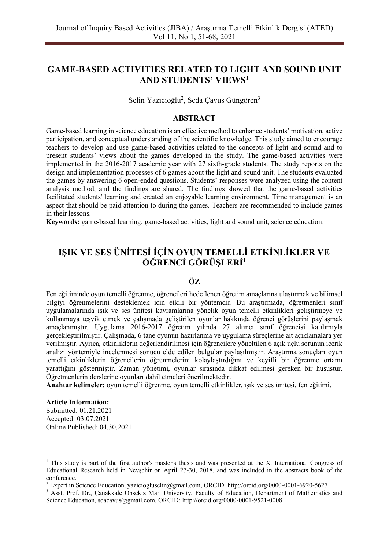# **GAME-BASED ACTIVITIES RELATED TO LIGHT AND SOUND UNIT AND STUDENTS' VIEWS<sup>1</sup>**

Selin Yazıcıoğlu<sup>2</sup>, Seda Çavuş Güngören<sup>3</sup>

## **ABSTRACT**

Game-based learning in science education is an effective method to enhance students' motivation, active participation, and conceptual understanding of the scientific knowledge. This study aimed to encourage teachers to develop and use game-based activities related to the concepts of light and sound and to present students' views about the games developed in the study. The game-based activities were implemented in the 2016-2017 academic year with 27 sixth-grade students. The study reports on the design and implementation processes of 6 games about the light and sound unit. The students evaluated the games by answering 6 open-ended questions. Students' responses were analyzed using the content analysis method, and the findings are shared. The findings showed that the game-based activities facilitated students' learning and created an enjoyable learning environment. Time management is an aspect that should be paid attention to during the games. Teachers are recommended to include games in their lessons.

**Keywords:** game-based learning, game-based activities, light and sound unit, science education.

# **IŞIK VE SES ÜNİTESİ İÇİN OYUN TEMELLİ ETKİNLİKLER VE ÖĞRENCİ GÖRÜŞLERİ<sup>1</sup>**

## **ÖZ**

Fen eğitiminde oyun temelli öğrenme, öğrencileri hedeflenen öğretim amaçlarına ulaştırmak ve bilimsel bilgiyi öğrenmelerini desteklemek için etkili bir yöntemdir. Bu araştırmada, öğretmenleri sınıf uygulamalarında ışık ve ses ünitesi kavramlarına yönelik oyun temelli etkinlikleri geliştirmeye ve kullanmaya teşvik etmek ve çalışmada geliştirilen oyunlar hakkında öğrenci görüşlerini paylaşmak amaçlanmıştır. Uygulama 2016-2017 öğretim yılında 27 altıncı sınıf öğrencisi katılımıyla gerçekleştirilmiştir. Çalışmada, 6 tane oyunun hazırlanma ve uygulama süreçlerine ait açıklamalara yer verilmiştir. Ayrıca, etkinliklerin değerlendirilmesi için öğrencilere yöneltilen 6 açık uçlu sorunun içerik analizi yöntemiyle incelenmesi sonucu elde edilen bulgular paylaşılmıştır. Araştırma sonuçları oyun temelli etkinliklerin öğrencilerin öğrenmelerini kolaylaştırdığını ve keyifli bir öğrenme ortamı yarattığını göstermiştir. Zaman yönetimi, oyunlar sırasında dikkat edilmesi gereken bir husustur. Öğretmenlerin derslerine oyunları dahil etmeleri önerilmektedir.

**Anahtar kelimeler:** oyun temelli öğrenme, oyun temelli etkinlikler, ışık ve ses ünitesi, fen eğitimi.

#### **Article Information:**

Submitted: 01.21.2021 Accepted: 03.07.2021 Online Published: 04.30.2021

<sup>&</sup>lt;sup>1</sup> This study is part of the first author's master's thesis and was presented at the X. International Congress of Educational Research held in Nevşehir on April 27-30, 2018, and was included in the abstracts book of the conference.

<sup>2</sup> Expert in Science Education, yaziciogluselin@gmail.com, ORCID: http://orcid.org/0000-0001-6920-5627

<sup>&</sup>lt;sup>3</sup> Asst. Prof. Dr., Canakkale Onsekiz Mart University, Faculty of Education, Department of Mathematics and Science Education, sdacavus@gmail.com, ORCID:<http://orcid.org/0000-0001-9521-0008>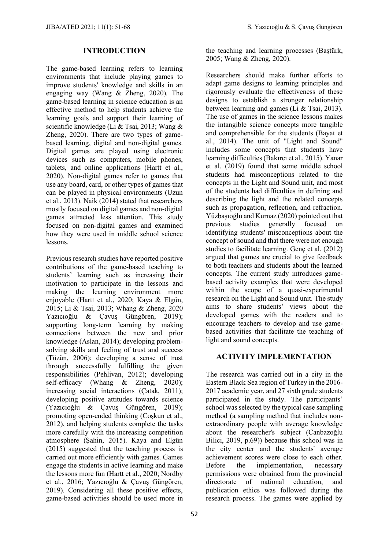## **INTRODUCTION**

The game-based learning refers to learning environments that include playing games to improve students' knowledge and skills in an engaging way (Wang & Zheng, 2020). The game-based learning in science education is an effective method to help students achieve the learning goals and support their learning of scientific knowledge (Li & Tsai, 2013; Wang & Zheng, 2020). There are two types of gamebased learning, digital and non-digital games. Digital games are played using electronic devices such as computers, mobile phones, tablets, and online applications (Hartt et al., 2020). Non-digital games refer to games that use any board, card, or other types of games that can be played in physical environments (Uzun et al., 2013). Naik (2014) stated that researchers mostly focused on digital games and non-digital games attracted less attention. This study focused on non-digital games and examined how they were used in middle school science lessons.

Previous research studies have reported positive contributions of the game-based teaching to students' learning such as increasing their motivation to participate in the lessons and making the learning environment more enjoyable (Hartt et al., 2020; Kaya & Elgün, 2015; Li & Tsai, 2013; Whang & Zheng, 2020 Yazıcıoğlu & Çavuş Güngören, 2019); supporting long-term learning by making connections between the new and prior knowledge (Aslan, 2014); developing problemsolving skills and feeling of trust and success (Tüzün, 2006); developing a sense of trust through successfully fulfilling the given responsibilities (Pehlivan, 2012); developing self-efficacy (Whang & Zheng, 2020); increasing social interactions (Çatak, 2011); developing positive attitudes towards science (Yazıcıoğlu & Çavuş Güngören, 2019); promoting open-ended thinking (Coşkun et al., 2012), and helping students complete the tasks more carefully with the increasing competition atmosphere (Şahin, 2015). Kaya and Elgün (2015) suggested that the teaching process is carried out more efficiently with games. Games engage the students in active learning and make the lessons more fun (Hartt et al., 2020; Nordby et al., 2016; Yazıcıoğlu & Çavuş Güngören, 2019). Considering all these positive effects, game-based activities should be used more in

the teaching and learning processes (Baştürk, 2005; Wang & Zheng, 2020).

Researchers should make further efforts to adapt game designs to learning principles and rigorously evaluate the effectiveness of these designs to establish a stronger relationship between learning and games (Li & Tsai, 2013). The use of games in the science lessons makes the intangible science concepts more tangible and comprehensible for the students (Bayat et al., 2014). The unit of "Light and Sound" includes some concepts that students have learning difficulties (Bakırcı et al., 2015). Yanar et al. (2019) found that some middle school students had misconceptions related to the concepts in the Light and Sound unit, and most of the students had difficulties in defining and describing the light and the related concepts such as propagation, reflection, and refraction. Yüzbaşıoğlu and Kurnaz (2020) pointed out that previous studies generally focused on identifying students' misconceptions about the concept of sound and that there were not enough studies to facilitate learning. Genç et al. (2012) argued that games are crucial to give feedback to both teachers and students about the learned concepts. The current study introduces gamebased activity examples that were developed within the scope of a quasi-experimental research on the Light and Sound unit. The study aims to share students' views about the developed games with the readers and to encourage teachers to develop and use gamebased activities that facilitate the teaching of light and sound concepts.

## **ACTIVITY IMPLEMENTATION**

The research was carried out in a city in the Eastern Black Sea region of Turkey in the 2016- 2017 academic year, and 27 sixth grade students participated in the study. The participants' school was selected by the typical case sampling method (a sampling method that includes nonextraordinary people with average knowledge about the researcher's subject (Canbazoğlu Bilici, 2019, p.69)) because this school was in the city center and the students' average achievement scores were close to each other. Before the implementation, necessary permissions were obtained from the provincial directorate of national education, and publication ethics was followed during the research process. The games were applied by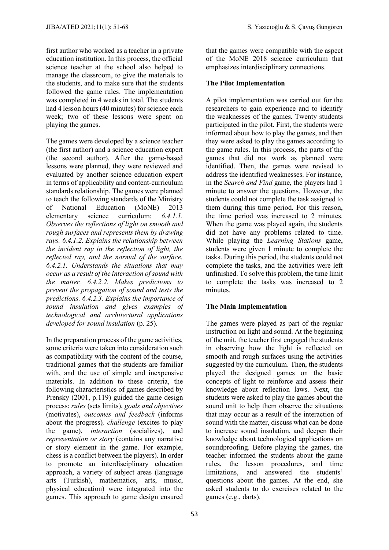first author who worked as a teacher in a private education institution. In this process, the official science teacher at the school also helped to manage the classroom, to give the materials to the students, and to make sure that the students followed the game rules. The implementation was completed in 4 weeks in total. The students had 4 lesson hours (40 minutes) for science each week; two of these lessons were spent on playing the games.

The games were developed by a science teacher (the first author) and a science education expert (the second author). After the game-based lessons were planned, they were reviewed and evaluated by another science education expert in terms of applicability and content-curriculum standards relationship. The games were planned to teach the following standards of the Ministry of National Education (MoNE) 2013 elementary science curriculum: *6.4.1.1. Observes the reflections of light on smooth and rough surfaces and represents them by drawing rays. 6.4.1.2. Explains the relationship between the incident ray in the reflection of light, the reflected ray, and the normal of the surface. 6.4.2.1. Understands the situations that may occur as a result of the interaction of sound with the matter. 6.4.2.2. Makes predictions to prevent the propagation of sound and tests the predictions. 6.4.2.3. Explains the importance of sound insulation and gives examples of technological and architectural applications developed for sound insulation* (p. 25).

In the preparation process of the game activities, some criteria were taken into consideration such as compatibility with the content of the course, traditional games that the students are familiar with, and the use of simple and inexpensive materials. In addition to these criteria, the following characteristics of games described by Prensky (2001, p.119) guided the game design process: *rules* (sets limits), *goals and objectives* (motivates), *outcomes and feedback* (informs about the progress)*, challenge* (excites to play the game), *interaction* (socializes), and *representation or story* (contains any narrative or story element in the game. For example, chess is a conflict between the players). In order to promote an interdisciplinary education approach, a variety of subject areas (language arts (Turkish), mathematics, arts, music, physical education) were integrated into the games. This approach to game design ensured that the games were compatible with the aspect of the MoNE 2018 science curriculum that emphasizes interdisciplinary connections.

## **The Pilot Implementation**

A pilot implementation was carried out for the researchers to gain experience and to identify the weaknesses of the games. Twenty students participated in the pilot. First, the students were informed about how to play the games, and then they were asked to play the games according to the game rules. In this process, the parts of the games that did not work as planned were identified. Then, the games were revised to address the identified weaknesses. For instance, in the *Search and Find* game, the players had 1 minute to answer the questions. However, the students could not complete the task assigned to them during this time period. For this reason, the time period was increased to 2 minutes. When the game was played again, the students did not have any problems related to time. While playing the *Learning Stations* game, students were given 1 minute to complete the tasks. During this period, the students could not complete the tasks, and the activities were left unfinished. To solve this problem, the time limit to complete the tasks was increased to 2 minutes.

## **The Main Implementation**

The games were played as part of the regular instruction on light and sound. At the beginning of the unit, the teacher first engaged the students in observing how the light is reflected on smooth and rough surfaces using the activities suggested by the curriculum. Then, the students played the designed games on the basic concepts of light to reinforce and assess their knowledge about reflection laws. Next, the students were asked to play the games about the sound unit to help them observe the situations that may occur as a result of the interaction of sound with the matter, discuss what can be done to increase sound insulation, and deepen their knowledge about technological applications on soundproofing. Before playing the games, the teacher informed the students about the game rules, the lesson procedures, and time limitations, and answered the students' questions about the games. At the end, she asked students to do exercises related to the games (e.g., darts).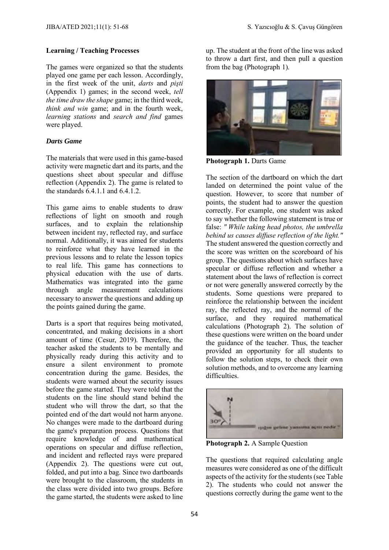#### **Learning / Teaching Processes**

The games were organized so that the students played one game per each lesson. Accordingly, in the first week of the unit, *darts* and *pişti* (Appendix 1) games; in the second week, *tell the time draw the shape* game; in the third week, *think and win* game; and in the fourth week, *learning stations* and *search and find* games were played.

#### *Darts Game*

The materials that were used in this game-based activity were magnetic dart and its parts, and the questions sheet about specular and diffuse reflection (Appendix 2). The game is related to the standards  $6.4.1.1$  and  $6.4.1.2$ .

This game aims to enable students to draw reflections of light on smooth and rough surfaces, and to explain the relationship between incident ray, reflected ray, and surface normal. Additionally, it was aimed for students to reinforce what they have learned in the previous lessons and to relate the lesson topics to real life. This game has connections to physical education with the use of darts. Mathematics was integrated into the game through angle measurement calculations necessary to answer the questions and adding up the points gained during the game.

Darts is a sport that requires being motivated, concentrated, and making decisions in a short amount of time (Cesur, 2019). Therefore, the teacher asked the students to be mentally and physically ready during this activity and to ensure a silent environment to promote concentration during the game. Besides, the students were warned about the security issues before the game started. They were told that the students on the line should stand behind the student who will throw the dart, so that the pointed end of the dart would not harm anyone. No changes were made to the dartboard during the game's preparation process. Questions that require knowledge of and mathematical operations on specular and diffuse reflection, and incident and reflected rays were prepared (Appendix 2). The questions were cut out, folded, and put into a bag. Since two dartboards were brought to the classroom, the students in the class were divided into two groups. Before the game started, the students were asked to line

up. The student at the front of the line was asked to throw a dart first, and then pull a question from the bag (Photograph 1).



**Photograph 1.** Darts Game

The section of the dartboard on which the dart landed on determined the point value of the question. However, to score that number of points, the student had to answer the question correctly. For example, one student was asked to say whether the following statement is true or false: *" While taking head photos, the umbrella behind us causes diffuse reflection of the light."* The student answered the question correctly and the score was written on the scoreboard of his group. The questions about which surfaces have specular or diffuse reflection and whether a statement about the laws of reflection is correct or not were generally answered correctly by the students. Some questions were prepared to reinforce the relationship between the incident ray, the reflected ray, and the normal of the surface, and they required mathematical calculations (Photograph 2). The solution of these questions were written on the board under the guidance of the teacher. Thus, the teacher provided an opportunity for all students to follow the solution steps, to check their own solution methods, and to overcome any learning difficulties.



**Photograph 2.** A Sample Question

The questions that required calculating angle measures were considered as one of the difficult aspects of the activity for the students (see Table 2). The students who could not answer the questions correctly during the game went to the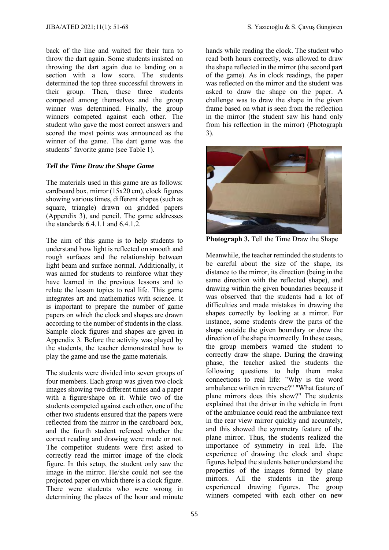back of the line and waited for their turn to throw the dart again. Some students insisted on throwing the dart again due to landing on a section with a low score. The students determined the top three successful throwers in their group. Then, these three students competed among themselves and the group winner was determined. Finally, the group winners competed against each other. The student who gave the most correct answers and scored the most points was announced as the winner of the game. The dart game was the students' favorite game (see Table 1).

#### *Tell the Time Draw the Shape Game*

The materials used in this game are as follows: cardboard box, mirror (15x20 cm), clock figures showing various times, different shapes (such as square, triangle) drawn on gridded papers (Appendix 3), and pencil. The game addresses the standards 6.4.1.1 and 6.4.1.2.

The aim of this game is to help students to understand how light is reflected on smooth and rough surfaces and the relationship between light beam and surface normal. Additionally, it was aimed for students to reinforce what they have learned in the previous lessons and to relate the lesson topics to real life. This game integrates art and mathematics with science. It is important to prepare the number of game papers on which the clock and shapes are drawn according to the number of students in the class. Sample clock figures and shapes are given in Appendix 3. Before the activity was played by the students, the teacher demonstrated how to play the game and use the game materials.

The students were divided into seven groups of four members. Each group was given two clock images showing two different times and a paper with a figure/shape on it. While two of the students competed against each other, one of the other two students ensured that the papers were reflected from the mirror in the cardboard box, and the fourth student refereed whether the correct reading and drawing were made or not. The competitor students were first asked to correctly read the mirror image of the clock figure. In this setup, the student only saw the image in the mirror. He/she could not see the projected paper on which there is a clock figure. There were students who were wrong in determining the places of the hour and minute

hands while reading the clock. The student who read both hours correctly, was allowed to draw the shape reflected in the mirror (the second part of the game). As in clock readings, the paper was reflected on the mirror and the student was asked to draw the shape on the paper. A challenge was to draw the shape in the given frame based on what is seen from the reflection in the mirror (the student saw his hand only from his reflection in the mirror) (Photograph 3).



**Photograph 3.** Tell the Time Draw the Shape

Meanwhile, the teacher reminded the students to be careful about the size of the shape, its distance to the mirror, its direction (being in the same direction with the reflected shape), and drawing within the given boundaries because it was observed that the students had a lot of difficulties and made mistakes in drawing the shapes correctly by looking at a mirror. For instance, some students drew the parts of the shape outside the given boundary or drew the direction of the shape incorrectly. In these cases, the group members warned the student to correctly draw the shape. During the drawing phase, the teacher asked the students the following questions to help them make connections to real life: "Why is the word ambulance written in reverse?" "What feature of plane mirrors does this show?" The students explained that the driver in the vehicle in front of the ambulance could read the ambulance text in the rear view mirror quickly and accurately, and this showed the symmetry feature of the plane mirror. Thus, the students realized the importance of symmetry in real life. The experience of drawing the clock and shape figures helped the students better understand the properties of the images formed by plane mirrors. All the students in the group experienced drawing figures. The group winners competed with each other on new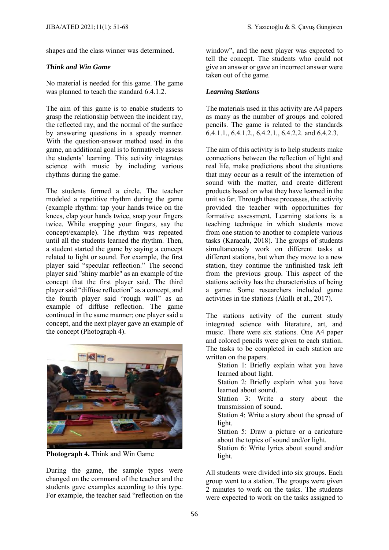shapes and the class winner was determined.

## *Think and Win Game*

No material is needed for this game. The game was planned to teach the standard 6.4.1.2.

The aim of this game is to enable students to grasp the relationship between the incident ray, the reflected ray, and the normal of the surface by answering questions in a speedy manner. With the question-answer method used in the game, an additional goal is to formatively assess the students' learning. This activity integrates science with music by including various rhythms during the game.

The students formed a circle. The teacher modeled a repetitive rhythm during the game (example rhythm: tap your hands twice on the knees, clap your hands twice, snap your fingers twice. While snapping your fingers, say the concept/example). The rhythm was repeated until all the students learned the rhythm. Then, a student started the game by saying a concept related to light or sound. For example, the first player said "specular reflection." The second player said "shiny marble" as an example of the concept that the first player said. The third player said "diffuse reflection" as a concept, and the fourth player said "rough wall" as an example of diffuse reflection. The game continued in the same manner; one player said a concept, and the next player gave an example of the concept (Photograph 4).



**Photograph 4.** Think and Win Game

During the game, the sample types were changed on the command of the teacher and the students gave examples according to this type. For example, the teacher said "reflection on the window", and the next player was expected to tell the concept. The students who could not give an answer or gave an incorrect answer were taken out of the game.

## *Learning Stations*

The materials used in this activity are A4 papers as many as the number of groups and colored pencils. The game is related to the standards  $6.4.1.1$ ,  $6.4.1.2$ ,  $6.4.2.1$ ,  $6.4.2.2$ . and  $6.4.2.3$ .

The aim of this activity is to help students make connections between the reflection of light and real life, make predictions about the situations that may occur as a result of the interaction of sound with the matter, and create different products based on what they have learned in the unit so far. Through these processes, the activity provided the teacher with opportunities for formative assessment. Learning stations is a teaching technique in which students move from one station to another to complete various tasks (Karacalı, 2018). The groups of students simultaneously work on different tasks at different stations, but when they move to a new station, they continue the unfinished task left from the previous group. This aspect of the stations activity has the characteristics of being a game. Some researchers included game activities in the stations (Akıllı et al., 2017).

The stations activity of the current study integrated science with literature, art, and music. There were six stations. One A4 paper and colored pencils were given to each station. The tasks to be completed in each station are written on the papers.

Station 1: Briefly explain what you have learned about light.

Station 2: Briefly explain what you have learned about sound.

Station 3: Write a story about the transmission of sound.

Station 4: Write a story about the spread of light.

Station 5: Draw a picture or a caricature about the topics of sound and/or light.

Station 6: Write lyrics about sound and/or light.

All students were divided into six groups. Each group went to a station. The groups were given 2 minutes to work on the tasks. The students were expected to work on the tasks assigned to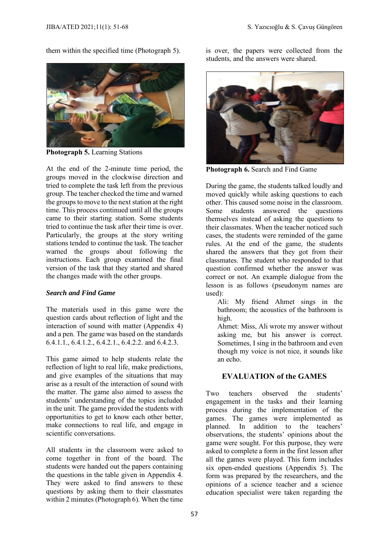them within the specified time (Photograph 5).



**Photograph 5.** Learning Stations

At the end of the 2-minute time period, the groups moved in the clockwise direction and tried to complete the task left from the previous group. The teacher checked the time and warned the groups to move to the next station at the right time. This process continued until all the groups came to their starting station. Some students tried to continue the task after their time is over. Particularly, the groups at the story writing stations tended to continue the task. The teacher warned the groups about following the instructions. Each group examined the final version of the task that they started and shared the changes made with the other groups.

## *Search and Find Game*

The materials used in this game were the question cards about reflection of light and the interaction of sound with matter (Appendix 4) and a pen. The game was based on the standards 6.4.1.1., 6.4.1.2., 6.4.2.1., 6.4.2.2. and 6.4.2.3.

This game aimed to help students relate the reflection of light to real life, make predictions, and give examples of the situations that may arise as a result of the interaction of sound with the matter. The game also aimed to assess the students' understanding of the topics included in the unit. The game provided the students with opportunities to get to know each other better, make connections to real life, and engage in scientific conversations.

All students in the classroom were asked to come together in front of the board. The students were handed out the papers containing the questions in the table given in Appendix 4. They were asked to find answers to these questions by asking them to their classmates within 2 minutes (Photograph 6). When the time is over, the papers were collected from the students, and the answers were shared.



**Photograph 6.** Search and Find Game

During the game, the students talked loudly and moved quickly while asking questions to each other. This caused some noise in the classroom. Some students answered the questions themselves instead of asking the questions to their classmates. When the teacher noticed such cases, the students were reminded of the game rules. At the end of the game, the students shared the answers that they got from their classmates. The student who responded to that question confirmed whether the answer was correct or not. An example dialogue from the lesson is as follows (pseudonym names are used):

Ali: My friend Ahmet sings in the bathroom; the acoustics of the bathroom is high.

Ahmet: Miss, Ali wrote my answer without asking me, but his answer is correct. Sometimes, I sing in the bathroom and even though my voice is not nice, it sounds like an echo.

## **EVALUATION of the GAMES**

Two teachers observed the students' engagement in the tasks and their learning process during the implementation of the games. The games were implemented as planned. In addition to the teachers' addition to the teachers' observations, the students' opinions about the game were sought. For this purpose, they were asked to complete a form in the first lesson after all the games were played. This form includes six open-ended questions (Appendix 5). The form was prepared by the researchers, and the opinions of a science teacher and a science education specialist were taken regarding the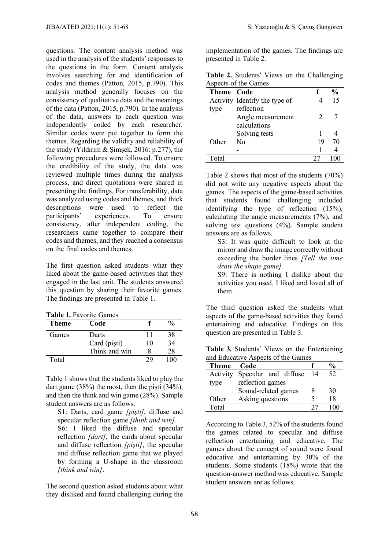questions. The content analysis method was used in the analysis of the students' responses to the questions in the form. Content analysis involves searching for and identification of codes and themes (Patton, 2015, p.790). This analysis method generally focuses on the consistency of qualitative data and the meanings of the data (Patton, 2015, p.790). In the analysis of the data, answers to each question was independently coded by each researcher. Similar codes were put together to form the themes. Regarding the validity and reliability of the study (Yıldırım & Şimşek, 2016: p.277), the following procedures were followed. To ensure the credibility of the study, the data was reviewed multiple times during the analysis process, and direct quotations were shared in presenting the findings. For transferability, data was analyzed using codes and themes, and thick descriptions were used to reflect the participants' experiences. To ensure consistency, after independent coding, the researchers came together to compare their codes and themes, and they reached a consensus on the final codes and themes.

The first question asked students what they liked about the game-based activities that they engaged in the last unit. The students answered this question by sharing their favorite games. The findings are presented in Table 1.

|  |  | <b>Table 1. Favorite Games</b> |  |
|--|--|--------------------------------|--|
|--|--|--------------------------------|--|

| Theme | Code          |    | $\frac{1}{2}$ |
|-------|---------------|----|---------------|
| Games | Darts         | 11 | 38            |
|       | Card (pişti)  | 10 | 34            |
|       | Think and win |    | 28            |
| Total |               |    | $\Omega$      |

Table 1 shows that the students liked to play the dart game (38%) the most, then the pişti (34%), and then the think and win game (28%). Sample student answers are as follows.

S1: Darts, card game *[pişti]*, diffuse and specular reflection game *[think and win].* S6: I liked the diffuse and specular reflection *[dart]*, the cards about specular and diffuse reflection *[pişti]*, the specular and diffuse reflection game that we played by forming a U-shape in the classroom *[think and win]*.

The second question asked students about what they disliked and found challenging during the implementation of the games. The findings are presented in Table 2.

**Table 2.** Students' Views on the Challenging Aspects of the Games

| <b>Theme Code</b> |                               |    | $\frac{6}{10}$ |
|-------------------|-------------------------------|----|----------------|
|                   | Activity Identify the type of |    | 15             |
| type              | reflection                    |    |                |
|                   | Angle measurement             | 2  |                |
|                   | calculations                  |    |                |
|                   | Solving tests                 |    |                |
| Other             | Nο                            | 19 | 70             |
|                   |                               |    |                |
|                   |                               |    |                |

Table 2 shows that most of the students (70%) did not write any negative aspects about the games. The aspects of the game-based activities that students found challenging included identifying the type of reflection (15%), calculating the angle measurements (7%), and solving test questions (4%). Sample student answers are as follows.

S3: It was quite difficult to look at the mirror and draw the image correctly without exceeding the border lines *[Tell the time draw the shape game].*

S9: There is nothing I dislike about the activities you used. I liked and loved all of them.

The third question asked the students what aspects of the game-based activities they found entertaining and educative. Findings on this question are presented in Table 3.

**Table 3.** Students' Views on the Entertaining and Educative Aspects of the Games

| Theme    | Code                 |    | %   |
|----------|----------------------|----|-----|
| Activity | Specular and diffuse | 14 | 52. |
| type     | reflection games     |    |     |
|          | Sound-related games  | 8  | 30  |
| Other    | Asking questions     |    | 18  |
| Total    |                      |    |     |

According to Table 3, 52% of the students found the games related to specular and diffuse reflection entertaining and educative. The games about the concept of sound were found educative and entertaining by 30% of the students. Some students (18%) wrote that the question-answer method was educative. Sample student answers are as follows.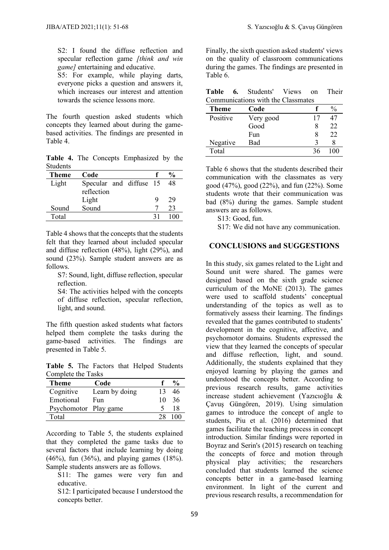S<sub>2</sub>: I found the diffuse reflection and specular reflection game *[think and win game]* entertaining and educative.

S5: For example, while playing darts, everyone picks a question and answers it, which increases our interest and attention towards the science lessons more.

The fourth question asked students which concepts they learned about during the gamebased activities. The findings are presented in Table 4.

**Table 4.** The Concepts Emphasized by the **Students** 

| Theme | Code                    |   | $\frac{1}{2}$ |
|-------|-------------------------|---|---------------|
| Light | Specular and diffuse 15 |   | 48            |
|       | reflection              |   |               |
|       | Light                   | Q | 29            |
| Sound | Sound                   |   | 23            |
| Total |                         |   | 100           |

Table 4 shows that the concepts that the students felt that they learned about included specular and diffuse reflection (48%), light (29%), and sound (23%). Sample student answers are as follows.

S7: Sound, light, diffuse reflection, specular reflection.

S4: The activities helped with the concepts of diffuse reflection, specular reflection, light, and sound.

The fifth question asked students what factors helped them complete the tasks during the game-based activities. The findings are presented in Table 5.

**Table 5.** The Factors that Helped Students Complete the Tasks

| Theme                 | Code           |    | $\frac{0}{0}$ |
|-----------------------|----------------|----|---------------|
| Cognitive             | Learn by doing | 13 | 46            |
| Emotional             | Fun            | 10 | 36            |
| Psychomotor Play game |                |    | 18            |
| Total                 |                | 28 | ΩÜ            |

According to Table 5, the students explained that they completed the game tasks due to several factors that include learning by doing (46%), fun (36%), and playing games (18%). Sample students answers are as follows.

S11: The games were very fun and educative.

S12: I participated because I understood the concepts better.

Finally, the sixth question asked students' views on the quality of classroom communications during the games. The findings are presented in Table 6.

|  | <b>Table 6.</b> Students' Views on |  | Their |
|--|------------------------------------|--|-------|
|  | Communications with the Classmates |  |       |

| Code      |    |     |  |  |
|-----------|----|-----|--|--|
| Very good | 17 |     |  |  |
| Good      |    | 22  |  |  |
| Fun       |    | 22  |  |  |
| Bad       |    |     |  |  |
|           | 36 | 100 |  |  |
|           |    |     |  |  |

Table 6 shows that the students described their communication with the classmates as very good (47%), good (22%), and fun (22%). Some students wrote that their communication was bad (8%) during the games. Sample student answers are as follows.

S13: Good, fun.

S17: We did not have any communication.

## **CONCLUSIONS and SUGGESTIONS**

In this study, six games related to the Light and Sound unit were shared. The games were designed based on the sixth grade science curriculum of the MoNE (2013). The games were used to scaffold students' conceptual understanding of the topics as well as to formatively assess their learning. The findings revealed that the games contributed to students' development in the cognitive, affective, and psychomotor domains. Students expressed the view that they learned the concepts of specular and diffuse reflection, light, and sound. Additionally, the students explained that they enjoyed learning by playing the games and understood the concepts better. According to previous research results, game activities increase student achievement (Yazıcıoğlu & Çavuş Güngören, 2019). Using simulation games to introduce the concept of angle to students, Piu et al. (2016) determined that games facilitate the teaching process in concept introduction. Similar findings were reported in Boyraz and Serin's (2015) research on teaching the concepts of force and motion through physical play activities; the researchers concluded that students learned the science concepts better in a game-based learning environment. In light of the current and previous research results, a recommendation for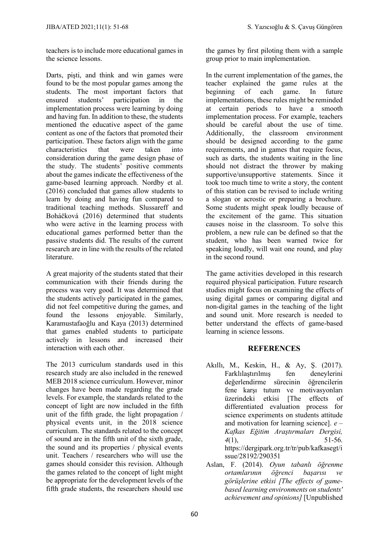teachers is to include more educational games in the science lessons.

Darts, pişti, and think and win games were found to be the most popular games among the students. The most important factors that ensured students' participation in the implementation process were learning by doing and having fun. In addition to these, the students mentioned the educative aspect of the game content as one of the factors that promoted their participation. These factors align with the game characteristics that were taken into consideration during the game design phase of the study. The students' positive comments about the games indicate the effectiveness of the game-based learning approach. Nordby et al. (2016) concluded that games allow students to learn by doing and having fun compared to traditional teaching methods. Slussareff and Boháčková (2016) determined that students who were active in the learning process with educational games performed better than the passive students did. The results of the current research are in line with the results of the related literature.

A great majority of the students stated that their communication with their friends during the process was very good. It was determined that the students actively participated in the games, did not feel competitive during the games, and found the lessons enjoyable. Similarly, Karamustafaoğlu and Kaya (2013) determined that games enabled students to participate actively in lessons and increased their interaction with each other.

The 2013 curriculum standards used in this research study are also included in the renewed MEB 2018 science curriculum. However, minor changes have been made regarding the grade levels. For example, the standards related to the concept of light are now included in the fifth unit of the fifth grade, the light propagation / physical events unit, in the 2018 science curriculum. The standards related to the concept of sound are in the fifth unit of the sixth grade, the sound and its properties / physical events unit. Teachers / researchers who will use the games should consider this revision. Although the games related to the concept of light might be appropriate for the development levels of the fifth grade students, the researchers should use the games by first piloting them with a sample group prior to main implementation.

In the current implementation of the games, the teacher explained the game rules at the beginning of each game. In future implementations, these rules might be reminded at certain periods to have a smooth implementation process. For example, teachers should be careful about the use of time. Additionally, the classroom environment should be designed according to the game requirements, and in games that require focus, such as darts, the students waiting in the line should not distract the thrower by making supportive/unsupportive statements. Since it took too much time to write a story, the content of this station can be revised to include writing a slogan or acrostic or preparing a brochure. Some students might speak loudly because of the excitement of the game. This situation causes noise in the classroom. To solve this problem, a new rule can be defined so that the student, who has been warned twice for speaking loudly, will wait one round, and play in the second round.

The game activities developed in this research required physical participation. Future research studies might focus on examining the effects of using digital games or comparing digital and non-digital games in the teaching of the light and sound unit. More research is needed to better understand the effects of game-based learning in science lessons.

## **REFERENCES**

- Akıllı, M., Keskin, H., & Ay, Ş. (2017). Farklılaştırılmış fen deneylerini değerlendirme sürecinin öğrencilerin fene karşı tutum ve motivasyonları üzerindeki etkisi [The effects of differentiated evaluation process for science experiments on students attitude and motivation for learning science]. *e – Kafkas Eğitim Araştırmaları Dergisi, 4*(1), 51-56. https://dergipark.org.tr/tr/pub/kafkasegt/i ssue/28192/290351
- Aslan, F. (2014). *Oyun tabanlı öğrenme ortamlarının öğrenci başarısı ve görüşlerine etkisi [The effects of gamebased learning environments on students' achievement and opinions]* [Unpublished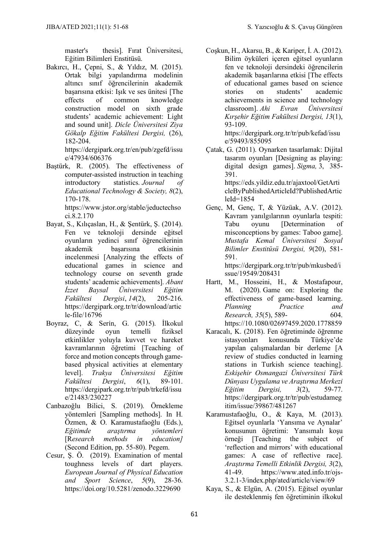master's thesis]. Fırat Üniversitesi, Eğitim Bilimleri Enstitüsü.

Bakırcı, H., Çepni, S., & Yıldız, M. (2015). Ortak bilgi yapılandırma modelinin altıncı sınıf öğrencilerinin akademik başarısına etkisi: Işık ve ses ünitesi [The effects of common knowledge construction model on sixth grade students' academic achievement: Light and sound unit]. *Dicle Üniversitesi Ziya Gökalp Eğitim Fakültesi Dergisi,* (26), 182-204.

https://dergipark.org.tr/en/pub/zgefd/issu e/47934/606376

Baştürk, R. (2005). The effectiveness of computer-assisted instruction in teaching introductory statistics. *Journal of Educational Technology & Society, 8*(2), 170-178.

https://www.jstor.org/stable/jeductechso ci.8.2.170

- Bayat, S., Kılıçaslan, H., & Şentürk, Ş. (2014). Fen ve teknoloji dersinde eğitsel oyunların yedinci sınıf öğrencilerinin akademik başarısına etkisinin incelenmesi [Analyzing the effects of educational games in science and technology course on seventh grade students' academic achievements]. *Abant İzzet Baysal Üniversitesi Eğitim Fakültesi Dergisi*, *14*(2), 205-216. https://dergipark.org.tr/tr/download/artic le-file/16796
- Boyraz, C, & Serı̇n, G. (2015). İlkokul düzeyinde oyun temelli fiziksel etkinlikler yoluyla kuvvet ve hareket kavramlarının öğretimi [Teaching of force and motion concepts through gamebased physical activities at elementary level]. *Trakya Üniversitesi Eğitim Fakültesi Dergisi*, *6*(1), 89-101. [https://dergipark.org.tr/tr/pub/trkefd/issu](https://dergipark.org.tr/tr/pub/trkefd/issue/21483/230227) [e/21483/230227](https://dergipark.org.tr/tr/pub/trkefd/issue/21483/230227)
- Canbazoğlu Bilici, S. (2019). Örnekleme yöntemleri [Sampling methods]. In H. Özmen, & O. Karamustafaoğlu (Eds.), *Eğitimde araştırma yöntemleri* [R*esearch methods in education]* (Second Edition, pp. 55-80). Pegem.
- Cesur, Ş. Ö. (2019). Examination of mental toughness levels of dart players. *European Journal of Physical Education and Sport Science*, *5*(9), 28-36. https://doi.org/10.5281/zenodo.3229690

Coşkun, H., Akarsu, B., & Kariper, İ. A. (2012). Bilim öyküleri içeren eğitsel oyunların fen ve teknoloji dersindeki öğrencilerin akademik başarılarına etkisi [The effects of educational games based on science stories on students' academic achievements in science and technology classroom]. *Ahi Evran Üniversitesi Kırşehir Eğitim Fakültesi Dergisi, 13*(1), 93-109.

https://dergipark.org.tr/tr/pub/kefad/issu e/59493/855095

- Çatak, G. (2011). Oynarken tasarlamak: Dijital tasarım oyunları [Designing as playing: digital design games]. *Sigma,* 3, 385- 391. [https://eds.yildiz.edu.tr/ajaxtool/GetArti](https://eds.yildiz.edu.tr/ajaxtool/GetArticleByPublishedArticleId?PublishedArticleId=1854) [cleByPublishedArticleId?PublishedArtic](https://eds.yildiz.edu.tr/ajaxtool/GetArticleByPublishedArticleId?PublishedArticleId=1854) [leId=1854](https://eds.yildiz.edu.tr/ajaxtool/GetArticleByPublishedArticleId?PublishedArticleId=1854)
- Genç, M, Genç, T, & Yüzüak, A.V. (2012). Kavram yanılgılarının oyunlarla tespiti: Tabu oyunu [Determination of misconceptions by games: Taboo game]. *Mustafa Kemal Üniversitesi Sosyal Bilimler Enstitüsü Dergisi, 9*(20), 581- 591.

https://dergipark.org.tr/tr/pub/mkusbed/i ssue/19549/208431

- Hartt, M., Hosseini, H., & Mostafapour, M. (2020). Game on: Exploring the effectiveness of game-based learning. *Planning Practice and Research,* 35(5), 589- 604. https:/[/10.1080/02697459.2020.1778859](https://doi.org/10.1080/02697459.2020.1778859)
- Karacalı, K. (2018). Fen öğretiminde öğrenme istasyonları konusunda Türkiye'de yapılan çalışmalardan bir derleme [A review of studies conducted in learning stations in Turkish science teaching]. *Eskişehir Osmangazi Üniversitesi Türk Dünyası Uygulama ve Araştırma Merkezi Eğitim Dergisi, 3*(2), 59-77. https://dergipark.org.tr/tr/pub/estudameg itim/issue/39867/481267
- Karamustafaoğlu, O., & Kaya, M. (2013). Eğitsel oyunlarla 'Yansıma ve Aynalar' konusunun öğretimi: Yansımalı koşu örneği [Teaching the subject of 'reflection and mirrors' with educational games: A case of reflective race]. *Araştırma Temelli Etkinlik Dergisi, 3*(2), 41-49. https://www.ated.info.tr/ojs-3.2.1-3/index.php/ated/article/view/69
- Kaya, S., & Elgün, A. (2015). Eğitsel oyunlar ile desteklenmiş fen öğretiminin ilkokul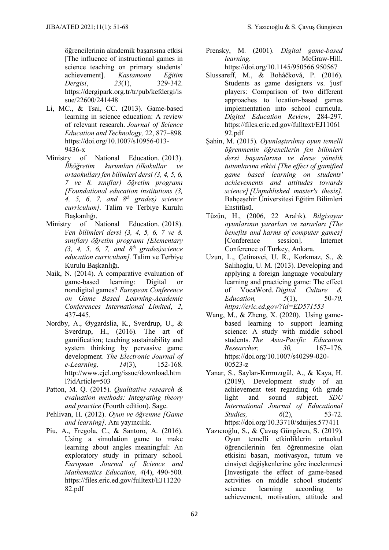öğrencilerinin akademik başarısına etkisi [The influence of instructional games in science teaching on primary students' achievement]. *Kastamonu Eğitim Dergisi*, *23*(1), 329-342. https://dergipark.org.tr/tr/pub/kefdergi/is sue/22600/241448

- Li, MC., & Tsai, CC. (2013). Game-based learning in science education: A review of relevant research. *[Journal of Science](https://link.springer.com/journal/10956)  [Education and Technology,](https://link.springer.com/journal/10956)* 22, 877–898. [https://doi.org/10.1007/s10956-013-](https://doi.org/10.1007/s10956-013-9436-x)  $9436-x$
- Ministry of National Education. (2013). *İlköğretim kurumları (ilkokullar ve ortaokullar) fen bilimleri dersi (3, 4, 5, 6, 7 ve 8. sınıflar) öğretim programı [Foundational education institutions (3, 4, 5, 6, 7, and 8th grades) science curriculum].* Talim ve Terbiye Kurulu Başkanlığı.
- Ministry of National Education. (2018). F*en bilimleri dersi (3, 4, 5, 6, 7 ve 8. sınıflar) öğretim programı [Elementary (3, 4, 5, 6, 7, and 8th grades)science education curriculum].* Talim ve Terbiye Kurulu Başkanlığı.
- Naik, N. (2014). A comparative evaluation of game-based learning: Digital or game-based learning: Digital or nondigital games? *European Conference on Game Based Learning-Academic Conferences International Limited*, *2*, 437-445.
- Nordby, A., Øygardslia, K., Sverdrup, U., & Sverdrup, H., (2016). The art of gamification; teaching sustainability and system thinking by pervasive game development. *The Electronic Journal of e-Learning, 14*(3), 152-168. http://www.ejel.org/issue/download.htm l?idArticle=503
- Patton, M. Q. (2015). *Qualitative research & evaluation methods: Integrating theory and practice* (Fourth edition). Sage.
- Pehlivan, H. (2012). *Oyun ve öğrenme [Game and learning]*. Anı yayıncılık.
- Piu, A., Fregola, C., & Santoro, A. (2016). Using a simulation game to make learning about angles meaningful: An exploratory study in primary school. *European Journal of Science and Mathematics Education*, *4*(4), 490-500. https://files.eric.ed.gov/fulltext/EJ11220 82.pdf
- Prensky, M. (2001). *Digital game-based learning.* McGraw-Hill. <https://doi.org/10.1145/950566.950567>
- Slussareff, M., & Boháčková, P. (2016). Students as game designers vs. 'just' players: Comparison of two different approaches to location-based games implementation into school curricula. *Digital Education Review*, 284-297. https://files.eric.ed.gov/fulltext/EJ11061 92.pdf
- Şahin, M. (2015). *Oyunlaştırılmış oyun temelli öğrenmenin öğrencilerin fen bilimleri dersi başarılarına ve derse yönelik tutumlarına etkisi [The effect of gamified game based learning on students' achievements and attitudes towards science] [Unpublished master's thesis].* Bahçeşehir Üniversitesi Eğitim Bilimleri Enstitüsü.
- Tüzün, H., (2006, 22 Aralık). *Bilgisayar oyunlarının yararları ve zararları [The benefits and harms of computer games]* [Conference session]. Internet Conference of Turkey, Ankara.
- Uzun, L., Çetinavci, U. R., Korkmaz, S., & Salihoglu, U. M. (2013). Developing and applying a foreign language vocabulary learning and practicing game: The effect of VocaWord. *Digital Culture & Education,* 5(1), 50-70. *https://eric.ed.gov/?id=ED571553*
- Wang, M., & Zheng, X. (2020). Using gamebased learning to support learning science: A study with middle school students. *[The Asia-Pacific Education](https://link.springer.com/journal/40299)  [Researcher,](https://link.springer.com/journal/40299) 30,* 167–176. [https://doi.org/10.1007/s40299-020-](https://doi.org/10.1007/s40299-020-00523-z) [00523-z](https://doi.org/10.1007/s40299-020-00523-z)
- Yanar, S., Saylan-Kırmızıgül, A., & Kaya, H. (2019). Development study of an achievement test regarding 6th grade light and sound subject. *SDU International Journal of Educational Studies. 6*(2), 53-72. https://doi.org/10.33710/sduijes.577411
- Yazıcıoğlu, S., & Çavuş Güngören, S. (2019). Oyun temelli etkinliklerin ortaokul öğrencilerinin fen öğrenmesine olan etkisini başarı, motivasyon, tutum ve cinsiyet değişkenlerine göre incelenmesi [Investigate the effect of game-based activities on middle school students' science learning according to achievement, motivation, attitude and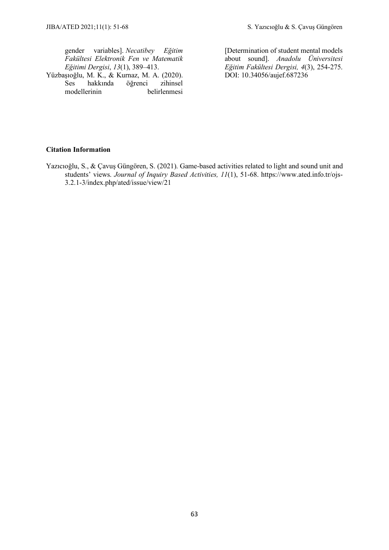gender variables]. *Necatibey Eğitim Fakültesi Elektronik Fen ve Matematik Eğitimi Dergisi*, *13*(1), 389–413.

Yüzbaşıoğlu, M. K., & Kurnaz, M. A. (2020). hakkında öğrenci zihinsel<br>
ses belirlenmesi modellerinin

[Determination of student mental models about sound]. *Anadolu Üniversitesi Eğitim Fakültesi Dergisi, 4*(3), 254-275. DOI: 10.34056/aujef.687236

#### **Citation Information**

Yazıcıoğlu, S., & Çavuş Güngören, S. (2021). Game-based activities related to light and sound unit and students' views. *Journal of Inquiry Based Activities, 11*(1), 51-68. https://www.ated.info.tr/ojs-3.2.1-3/index.php/ated/issue/view/21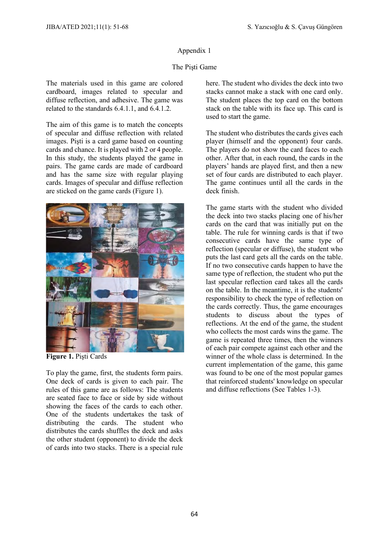#### The Pişti Game

The materials used in this game are colored cardboard, images related to specular and diffuse reflection, and adhesive. The game was related to the standards 6.4.1.1, and 6.4.1.2.

The aim of this game is to match the concepts of specular and diffuse reflection with related images. Pişti is a card game based on counting cards and chance. It is played with 2 or 4 people. In this study, the students played the game in pairs. The game cards are made of cardboard and has the same size with regular playing cards. Images of specular and diffuse reflection are sticked on the game cards (Figure 1).



**Figure 1.** Pişti Cards

To play the game, first, the students form pairs. One deck of cards is given to each pair. The rules of this game are as follows: The students are seated face to face or side by side without showing the faces of the cards to each other. One of the students undertakes the task of distributing the cards. The student who distributes the cards shuffles the deck and asks the other student (opponent) to divide the deck of cards into two stacks. There is a special rule here. The student who divides the deck into two stacks cannot make a stack with one card only. The student places the top card on the bottom stack on the table with its face up. This card is used to start the game.

The student who distributes the cards gives each player (himself and the opponent) four cards. The players do not show the card faces to each other. After that, in each round, the cards in the players' hands are played first, and then a new set of four cards are distributed to each player. The game continues until all the cards in the deck finish.

The game starts with the student who divided the deck into two stacks placing one of his/her cards on the card that was initially put on the table. The rule for winning cards is that if two consecutive cards have the same type of reflection (specular or diffuse), the student who puts the last card gets all the cards on the table. If no two consecutive cards happen to have the same type of reflection, the student who put the last specular reflection card takes all the cards on the table. In the meantime, it is the students' responsibility to check the type of reflection on the cards correctly. Thus, the game encourages students to discuss about the types of reflections. At the end of the game, the student who collects the most cards wins the game. The game is repeated three times, then the winners of each pair compete against each other and the winner of the whole class is determined. In the current implementation of the game, this game was found to be one of the most popular games that reinforced students' knowledge on specular and diffuse reflections (See Tables 1-3).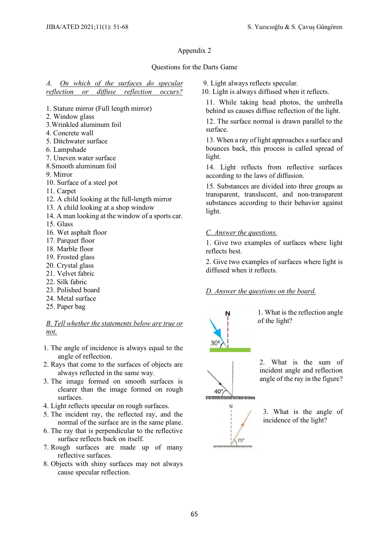#### Questions for the Darts Game

#### *A. On which of the surfaces do specular reflection or diffuse reflection occurs?*

- 1. Stature mirror (Full length mirror)
- 2. Window glass
- 3.Wrinkled aluminum foil
- 4. Concrete wall
- 5. Ditchwater surface
- 6. Lampshade
- 7. Uneven water surface
- 8.Smooth aluminum foil
- 9. Mirror
- 10. Surface of a steel pot
- 11. Carpet
- 12. A child looking at the full-length mirror
- 13. A child looking at a shop window
- 14. A man looking at the window of a sports car.
- 15. Glass
- 16. Wet asphalt floor
- 17. Parquet floor
- 18. Marble floor
- 19. Frosted glass
- 20. Crystal glass
- 21. Velvet fabric
- 22. Silk fabric
- 23. Polished board
- 24. Metal surface
- 25. Paper bag

*B. Tell whether the statements below are true or not.*

- 1. The angle of incidence is always equal to the angle of reflection.
- 2. Rays that come to the surfaces of objects are always reflected in the same way.
- 3. The image formed on smooth surfaces is clearer than the image formed on rough surfaces.
- 4. Light reflects specular on rough surfaces.
- 5. The incident ray, the reflected ray, and the normal of the surface are in the same plane.
- 6. The ray that is perpendicular to the reflective surface reflects back on itself.
- 7. Rough surfaces are made up of many reflective surfaces.
- 8. Objects with shiny surfaces may not always cause specular reflection.

9. Light always reflects specular.

10. Light is always diffused when it reflects.

11. While taking head photos, the umbrella behind us causes diffuse reflection of the light.

12. The surface normal is drawn parallel to the surface.

13. When a ray of light approaches a surface and bounces back, this process is called spread of light.

14. Light reflects from reflective surfaces according to the laws of diffusion.

15. Substances are divided into three groups as transparent, translucent, and non-transparent substances according to their behavior against light.

#### *C. Answer the questions.*

1. Give two examples of surfaces where light reflects best.

2. Give two examples of surfaces where light is diffused when it reflects.

#### *D. Answer the questions on the board.*



 $40^\circ$ 

**monominario ancora** N

 $75'$ 

1. What is the reflection angle of the light?



3. What is the angle of incidence of the light?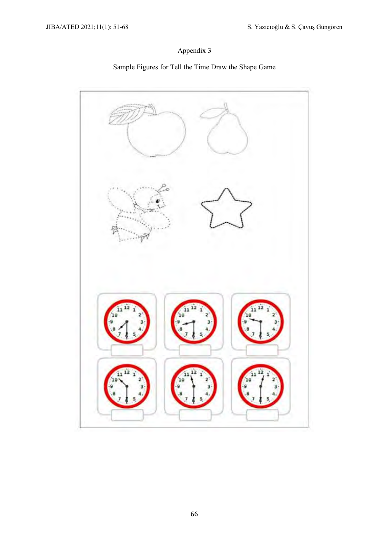# Sample Figures for Tell the Time Draw the Shape Game

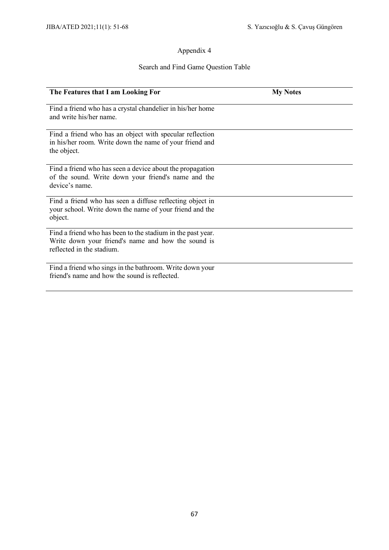# Search and Find Game Question Table

| The Features that I am Looking For                                                                                                             | <b>My Notes</b> |
|------------------------------------------------------------------------------------------------------------------------------------------------|-----------------|
| Find a friend who has a crystal chandelier in his/her home<br>and write his/her name.                                                          |                 |
| Find a friend who has an object with specular reflection<br>in his/her room. Write down the name of your friend and<br>the object.             |                 |
| Find a friend who has seen a device about the propagation<br>of the sound. Write down your friend's name and the<br>device's name.             |                 |
| Find a friend who has seen a diffuse reflecting object in<br>your school. Write down the name of your friend and the<br>object.                |                 |
| Find a friend who has been to the stadium in the past year.<br>Write down your friend's name and how the sound is<br>reflected in the stadium. |                 |
| Find a friend who sings in the bathroom. Write down your<br>friend's name and how the sound is reflected.                                      |                 |